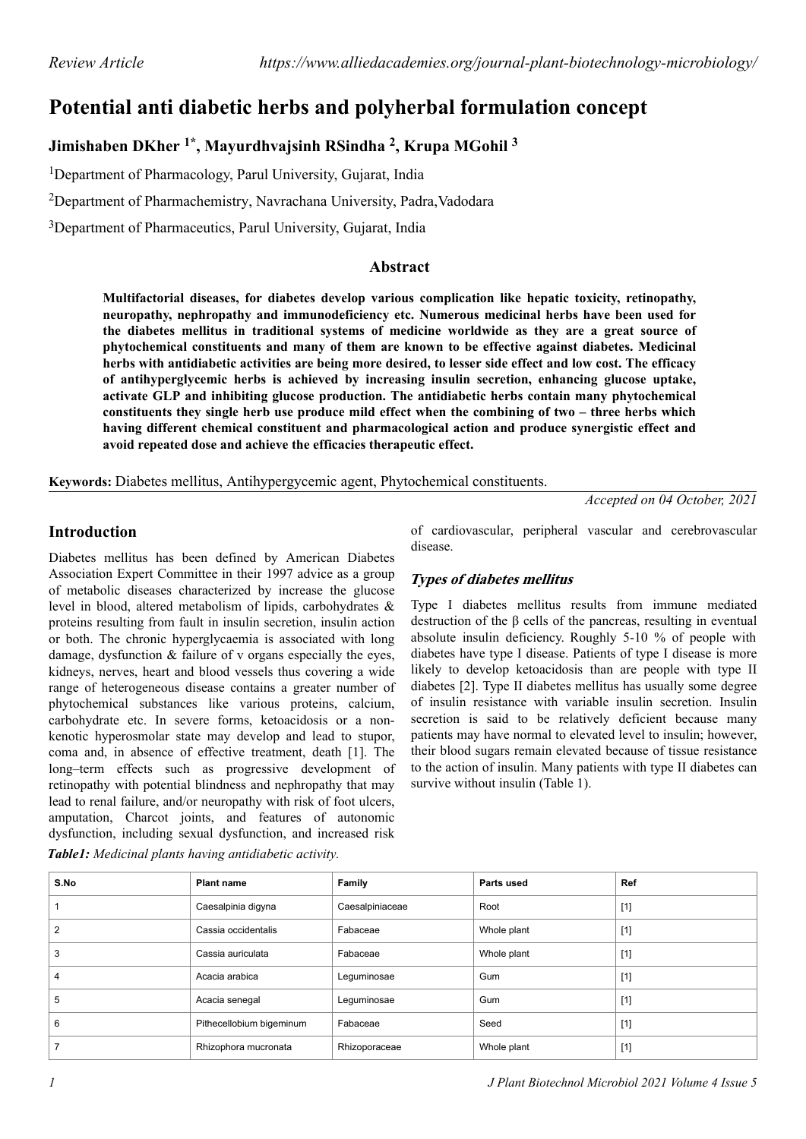# **Potential anti diabetic herbs and polyherbal formulation concept**

# **Jimishaben DKher 1\*, Mayurdhvajsinh RSindha <sup>2</sup> , Krupa MGohil <sup>3</sup>**

<sup>1</sup>Department of Pharmacology, Parul University, Gujarat, India

<sup>2</sup>Department of Pharmachemistry, Navrachana University, Padra,Vadodara

<sup>3</sup>Department of Pharmaceutics, Parul University, Gujarat, India

#### **Abstract**

**Multifactorial diseases, for diabetes develop various complication like hepatic toxicity, retinopathy, neuropathy, nephropathy and immunodeficiency etc. Numerous medicinal herbs have been used for the diabetes mellitus in traditional systems of medicine worldwide as they are a great source of phytochemical constituents and many of them are known to be effective against diabetes. Medicinal herbs with antidiabetic activities are being more desired, to lesser side effect and low cost. The efficacy of antihyperglycemic herbs is achieved by increasing insulin secretion, enhancing glucose uptake, activate GLP and inhibiting glucose production. The antidiabetic herbs contain many phytochemical constituents they single herb use produce mild effect when the combining of two – three herbs which having different chemical constituent and pharmacological action and produce synergistic effect and avoid repeated dose and achieve the efficacies therapeutic effect.**

**Keywords:** Diabetes mellitus, Antihypergycemic agent, Phytochemical constituents.

*Accepted on 04 October, 2021*

### **Introduction**

Diabetes mellitus has been defined by American Diabetes Association Expert Committee in their 1997 advice as a group of metabolic diseases characterized by increase the glucose level in blood, altered metabolism of lipids, carbohydrates & proteins resulting from fault in insulin secretion, insulin action or both. The chronic hyperglycaemia is associated with long damage, dysfunction & failure of v organs especially the eyes, kidneys, nerves, heart and blood vessels thus covering a wide range of heterogeneous disease contains a greater number of phytochemical substances like various proteins, calcium, carbohydrate etc. In severe forms, ketoacidosis or a nonkenotic hyperosmolar state may develop and lead to stupor, coma and, in absence of effective treatment, death [1]. The long–term effects such as progressive development of retinopathy with potential blindness and nephropathy that may lead to renal failure, and/or neuropathy with risk of foot ulcers, amputation, Charcot joints, and features of autonomic dysfunction, including sexual dysfunction, and increased risk of cardiovascular, peripheral vascular and cerebrovascular disease.

### **Types of diabetes mellitus**

Type I diabetes mellitus results from immune mediated destruction of the β cells of the pancreas, resulting in eventual absolute insulin deficiency. Roughly 5-10 % of people with diabetes have type I disease. Patients of type I disease is more likely to develop ketoacidosis than are people with type II diabetes [2]. Type II diabetes mellitus has usually some degree of insulin resistance with variable insulin secretion. Insulin secretion is said to be relatively deficient because many patients may have normal to elevated level to insulin; however, their blood sugars remain elevated because of tissue resistance to the action of insulin. Many patients with type II diabetes can survive without insulin (Table 1).

| S.No           | <b>Plant name</b>        | Family          | Parts used  | <b>Ref</b> |
|----------------|--------------------------|-----------------|-------------|------------|
|                | Caesalpinia digyna       | Caesalpiniaceae | Root        | $[1]$      |
| $\overline{2}$ | Cassia occidentalis      | Fabaceae        | Whole plant | $[1]$      |
| 3              | Cassia auriculata        | Fabaceae        | Whole plant | $[1]$      |
| 4              | Acacia arabica           | Leguminosae     | Gum         | $[1]$      |
| 5              | Acacia senegal           | Leguminosae     | Gum         | $[1]$      |
| 6              | Pithecellobium bigeminum | Fabaceae        | Seed        | $[1]$      |
|                | Rhizophora mucronata     | Rhizoporaceae   | Whole plant | $[1]$      |

*Table1: Medicinal plants having antidiabetic activity.*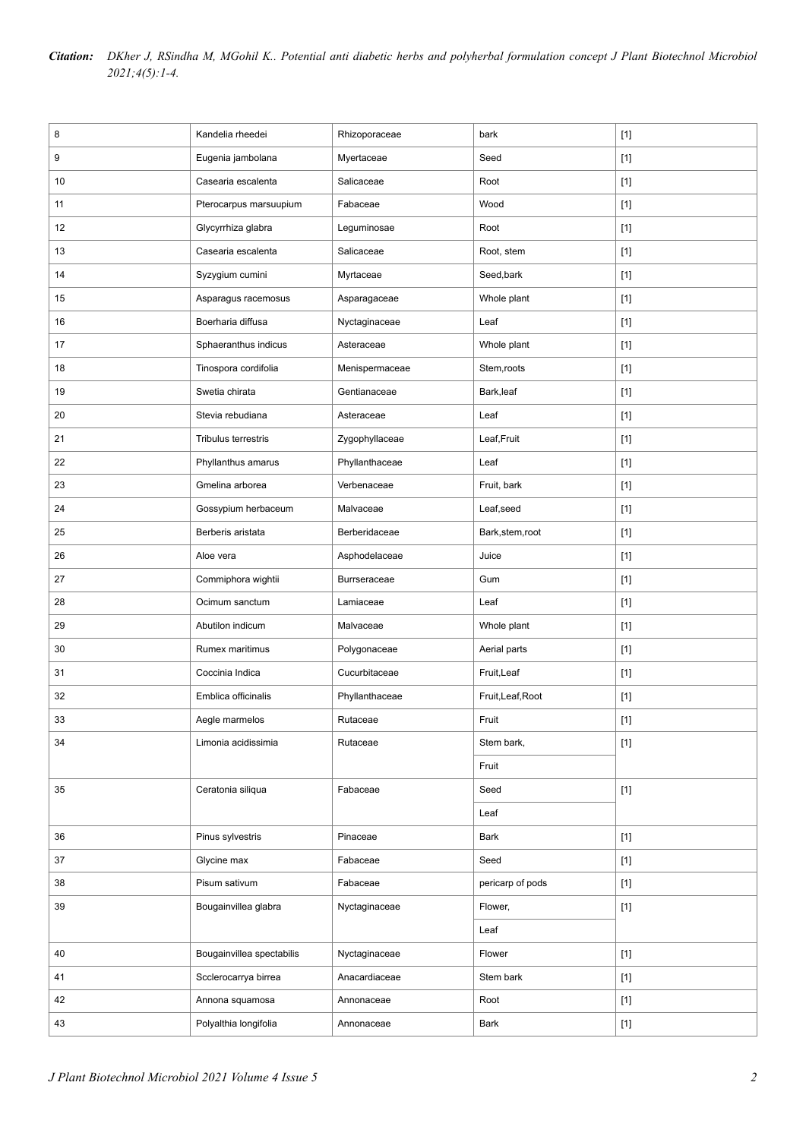| Citation: DKher J, RSindha M, MGohil K Potential anti diabetic herbs and polyherbal formulation concept J Plant Biotechnol Microbiol |
|--------------------------------------------------------------------------------------------------------------------------------------|
| $2021; 4(5): 1-4.$                                                                                                                   |

| 8  | Kandelia rheedei          | Rhizoporaceae       | bark              | $[1]$ |
|----|---------------------------|---------------------|-------------------|-------|
| 9  | Eugenia jambolana         | Myertaceae          | Seed              | $[1]$ |
| 10 | Casearia escalenta        | Salicaceae          | Root              | $[1]$ |
| 11 | Pterocarpus marsuupium    | Fabaceae            | Wood              | $[1]$ |
| 12 | Glycyrrhiza glabra        | Leguminosae         | Root              | $[1]$ |
| 13 | Casearia escalenta        | Salicaceae          | Root, stem        | $[1]$ |
| 14 | Syzygium cumini           | Myrtaceae           | Seed,bark         | $[1]$ |
| 15 | Asparagus racemosus       | Asparagaceae        | Whole plant       | $[1]$ |
| 16 | Boerharia diffusa         | Nyctaginaceae       | Leaf              | $[1]$ |
| 17 | Sphaeranthus indicus      | Asteraceae          | Whole plant       | $[1]$ |
| 18 | Tinospora cordifolia      | Menispermaceae      | Stem, roots       | $[1]$ |
| 19 | Swetia chirata            | Gentianaceae        | Bark,leaf         | $[1]$ |
| 20 | Stevia rebudiana          | Asteraceae          | Leaf              | $[1]$ |
| 21 | Tribulus terrestris       | Zygophyllaceae      | Leaf, Fruit       | $[1]$ |
| 22 | Phyllanthus amarus        | Phyllanthaceae      | Leaf              | $[1]$ |
| 23 | Gmelina arborea           | Verbenaceae         | Fruit, bark       | $[1]$ |
| 24 | Gossypium herbaceum       | Malvaceae           | Leaf, seed        | $[1]$ |
| 25 | Berberis aristata         | Berberidaceae       | Bark, stem, root  | $[1]$ |
| 26 | Aloe vera                 | Asphodelaceae       | Juice             | $[1]$ |
| 27 | Commiphora wightii        | <b>Burrseraceae</b> | Gum               | $[1]$ |
| 28 | Ocimum sanctum            | Lamiaceae           | Leaf              | $[1]$ |
| 29 | Abutilon indicum          | Malvaceae           | Whole plant       | $[1]$ |
| 30 | Rumex maritimus           | Polygonaceae        | Aerial parts      | $[1]$ |
| 31 | Coccinia Indica           | Cucurbitaceae       | Fruit, Leaf       | $[1]$ |
| 32 | Emblica officinalis       | Phyllanthaceae      | Fruit, Leaf, Root | $[1]$ |
| 33 | Aegle marmelos            | Rutaceae            | Fruit             | $[1]$ |
| 34 | Limonia acidissimia       | Rutaceae            | Stem bark,        | $[1]$ |
|    |                           |                     | Fruit             |       |
| 35 | Ceratonia siliqua         | Fabaceae            | Seed              | $[1]$ |
|    |                           |                     | Leaf              |       |
| 36 | Pinus sylvestris          | Pinaceae            | Bark              | $[1]$ |
| 37 | Glycine max               | Fabaceae            | Seed              | $[1]$ |
| 38 | Pisum sativum             | Fabaceae            | pericarp of pods  | $[1]$ |
| 39 | Bougainvillea glabra      | Nyctaginaceae       | Flower,           | $[1]$ |
|    |                           |                     | Leaf              |       |
| 40 | Bougainvillea spectabilis | Nyctaginaceae       | Flower            | $[1]$ |
| 41 | Scclerocarrya birrea      | Anacardiaceae       | Stem bark         | $[1]$ |
| 42 | Annona squamosa           | Annonaceae          | Root              | $[1]$ |
| 43 | Polyalthia longifolia     | Annonaceae          | Bark              | $[1]$ |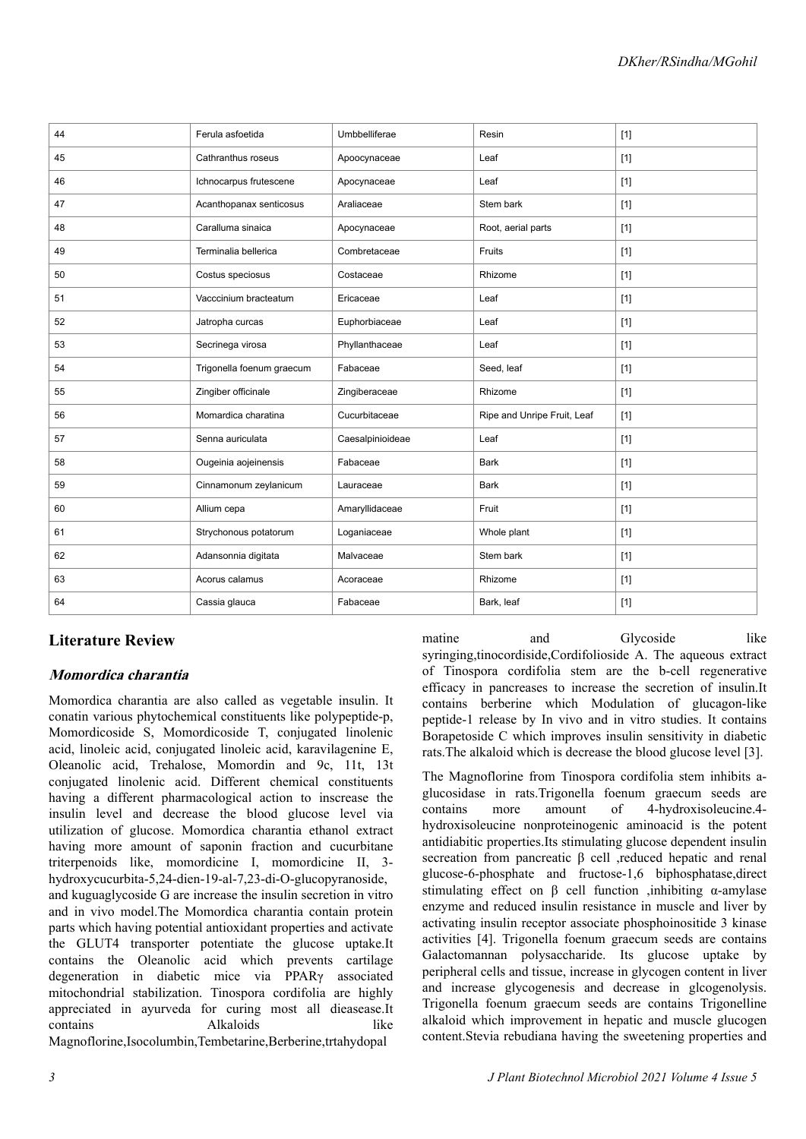| 44 | Ferula asfoetida          | Umbbelliferae    | Resin                       | $[1]$ |
|----|---------------------------|------------------|-----------------------------|-------|
| 45 | Cathranthus roseus        | Apoocynaceae     | Leaf                        | $[1]$ |
| 46 | Ichnocarpus frutescene    | Apocynaceae      | Leaf                        | $[1]$ |
| 47 | Acanthopanax senticosus   | Araliaceae       | Stem bark                   | $[1]$ |
| 48 | Caralluma sinaica         | Apocynaceae      | Root, aerial parts          | $[1]$ |
| 49 | Terminalia bellerica      | Combretaceae     | Fruits                      | $[1]$ |
| 50 | Costus speciosus          | Costaceae        | Rhizome                     | $[1]$ |
| 51 | Vacccinium bracteatum     | Ericaceae        | Leaf                        | $[1]$ |
| 52 | Jatropha curcas           | Euphorbiaceae    | Leaf                        | $[1]$ |
| 53 | Secrinega virosa          | Phyllanthaceae   | Leaf                        | $[1]$ |
| 54 | Trigonella foenum graecum | Fabaceae         | Seed, leaf                  | $[1]$ |
| 55 | Zingiber officinale       | Zingiberaceae    | Rhizome                     | $[1]$ |
| 56 | Momardica charatina       | Cucurbitaceae    | Ripe and Unripe Fruit, Leaf | $[1]$ |
| 57 | Senna auriculata          | Caesalpinioideae | Leaf                        | $[1]$ |
| 58 | Ougeinia aojeinensis      | Fabaceae         | <b>Bark</b>                 | $[1]$ |
| 59 | Cinnamonum zeylanicum     | Lauraceae        | <b>Bark</b>                 | $[1]$ |
| 60 | Allium cepa               | Amaryllidaceae   | Fruit                       | $[1]$ |
| 61 | Strychonous potatorum     | Loganiaceae      | Whole plant                 | $[1]$ |
| 62 | Adansonnia digitata       | Malvaceae        | Stem bark                   | $[1]$ |
| 63 | Acorus calamus            | Acoraceae        | Rhizome                     | $[1]$ |
| 64 | Cassia glauca             | Fabaceae         | Bark, leaf                  | $[1]$ |

## **Literature Review**

### **Momordica charantia**

Momordica charantia are also called as vegetable insulin. It conatin various phytochemical constituents like polypeptide-p, Momordicoside S, Momordicoside T, conjugated linolenic acid, linoleic acid, conjugated linoleic acid, karavilagenine E, Oleanolic acid, Trehalose, Momordin and 9c, 11t, 13t conjugated linolenic acid. Different chemical constituents having a different pharmacological action to inscrease the insulin level and decrease the blood glucose level via utilization of glucose. Momordica charantia ethanol extract having more amount of saponin fraction and cucurbitane triterpenoids like, momordicine I, momordicine II, 3 hydroxycucurbita-5,24-dien-19-al-7,23-di-O-glucopyranoside, and kuguaglycoside G are increase the insulin secretion in vitro and in vivo model.The Momordica charantia contain protein parts which having potential antioxidant properties and activate the GLUT4 transporter potentiate the glucose uptake.It contains the Oleanolic acid which prevents cartilage degeneration in diabetic mice via PPARγ associated mitochondrial stabilization. Tinospora cordifolia are highly appreciated in ayurveda for curing most all dieasease.It contains Alkaloids like Magnoflorine,Isocolumbin,Tembetarine,Berberine,trtahydopal

matine and Glycoside like syringing,tinocordiside,Cordifolioside A. The aqueous extract of Tinospora cordifolia stem are the b-cell regenerative efficacy in pancreases to increase the secretion of insulin.It contains berberine which Modulation of glucagon-like peptide-1 release by In vivo and in vitro studies. It contains Borapetoside C which improves insulin sensitivity in diabetic rats.The alkaloid which is decrease the blood glucose level [3].

The Magnoflorine from Tinospora cordifolia stem inhibits aglucosidase in rats.Trigonella foenum graecum seeds are contains more amount of 4-hydroxisoleucine.4 hydroxisoleucine nonproteinogenic aminoacid is the potent antidiabitic properties.Its stimulating glucose dependent insulin secreation from pancreatic β cell ,reduced hepatic and renal glucose-6-phosphate and fructose-1,6 biphosphatase,direct stimulating effect on β cell function ,inhibiting α-amylase enzyme and reduced insulin resistance in muscle and liver by activating insulin receptor associate phosphoinositide 3 kinase activities [4]. Trigonella foenum graecum seeds are contains Galactomannan polysaccharide. Its glucose uptake by peripheral cells and tissue, increase in glycogen content in liver and increase glycogenesis and decrease in glcogenolysis. Trigonella foenum graecum seeds are contains Trigonelline alkaloid which improvement in hepatic and muscle glucogen content.Stevia rebudiana having the sweetening properties and